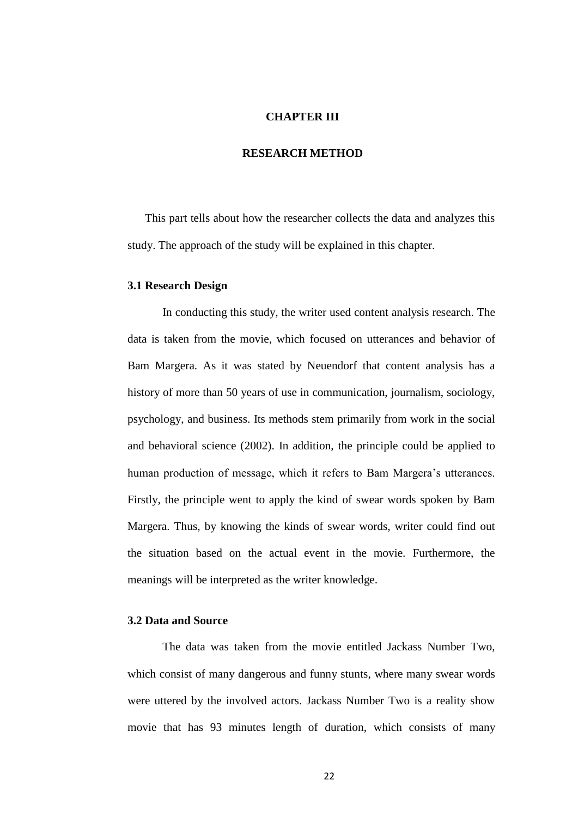# **CHAPTER III**

## **RESEARCH METHOD**

This part tells about how the researcher collects the data and analyzes this study. The approach of the study will be explained in this chapter.

#### **3.1 Research Design**

In conducting this study, the writer used content analysis research. The data is taken from the movie, which focused on utterances and behavior of Bam Margera. As it was stated by Neuendorf that content analysis has a history of more than 50 years of use in communication, journalism, sociology, psychology, and business. Its methods stem primarily from work in the social and behavioral science (2002). In addition, the principle could be applied to human production of message, which it refers to Bam Margera's utterances. Firstly, the principle went to apply the kind of swear words spoken by Bam Margera. Thus, by knowing the kinds of swear words, writer could find out the situation based on the actual event in the movie. Furthermore, the meanings will be interpreted as the writer knowledge.

## **3.2 Data and Source**

The data was taken from the movie entitled Jackass Number Two, which consist of many dangerous and funny stunts, where many swear words were uttered by the involved actors. Jackass Number Two is a reality show movie that has 93 minutes length of duration, which consists of many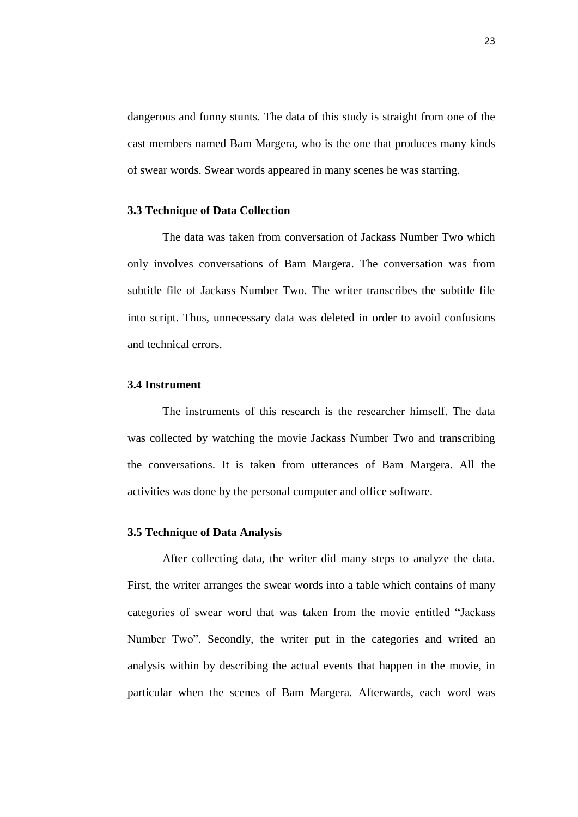dangerous and funny stunts. The data of this study is straight from one of the cast members named Bam Margera, who is the one that produces many kinds of swear words. Swear words appeared in many scenes he was starring.

# **3.3 Technique of Data Collection**

The data was taken from conversation of Jackass Number Two which only involves conversations of Bam Margera. The conversation was from subtitle file of Jackass Number Two. The writer transcribes the subtitle file into script. Thus, unnecessary data was deleted in order to avoid confusions and technical errors.

### **3.4 Instrument**

The instruments of this research is the researcher himself. The data was collected by watching the movie Jackass Number Two and transcribing the conversations. It is taken from utterances of Bam Margera. All the activities was done by the personal computer and office software.

## **3.5 Technique of Data Analysis**

After collecting data, the writer did many steps to analyze the data. First, the writer arranges the swear words into a table which contains of many categories of swear word that was taken from the movie entitled "Jackass Number Two". Secondly, the writer put in the categories and writed an analysis within by describing the actual events that happen in the movie, in particular when the scenes of Bam Margera. Afterwards, each word was